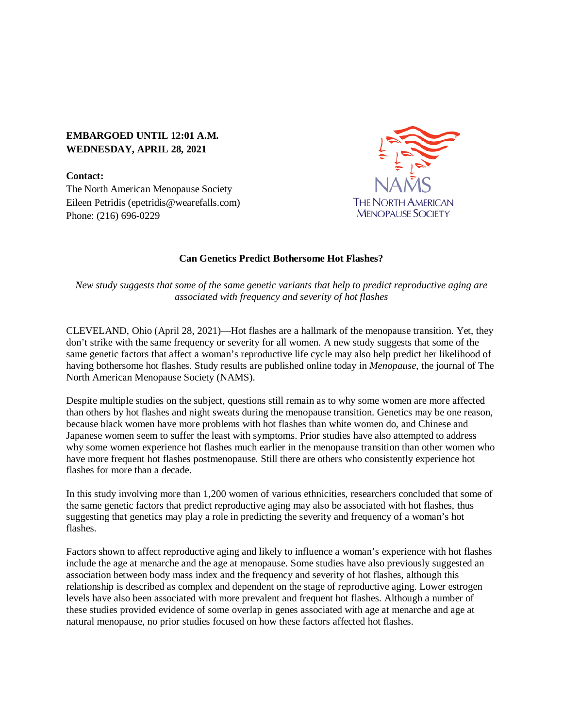## **EMBARGOED UNTIL 12:01 A.M. WEDNESDAY, APRIL 28, 2021**

**Contact:** The North American Menopause Society Eileen Petridis (epetridis@wearefalls.com) Phone: (216) 696-0229



## **Can Genetics Predict Bothersome Hot Flashes?**

*New study suggests that some of the same genetic variants that help to predict reproductive aging are associated with frequency and severity of hot flashes*

CLEVELAND, Ohio (April 28, 2021)—Hot flashes are a hallmark of the menopause transition. Yet, they don't strike with the same frequency or severity for all women. A new study suggests that some of the same genetic factors that affect a woman's reproductive life cycle may also help predict her likelihood of having bothersome hot flashes. Study results are published online today in *Menopause*, the journal of The North American Menopause Society (NAMS).

Despite multiple studies on the subject, questions still remain as to why some women are more affected than others by hot flashes and night sweats during the menopause transition. Genetics may be one reason, because black women have more problems with hot flashes than white women do, and Chinese and Japanese women seem to suffer the least with symptoms. Prior studies have also attempted to address why some women experience hot flashes much earlier in the menopause transition than other women who have more frequent hot flashes postmenopause. Still there are others who consistently experience hot flashes for more than a decade.

In this study involving more than 1,200 women of various ethnicities, researchers concluded that some of the same genetic factors that predict reproductive aging may also be associated with hot flashes, thus suggesting that genetics may play a role in predicting the severity and frequency of a woman's hot flashes.

Factors shown to affect reproductive aging and likely to influence a woman's experience with hot flashes include the age at menarche and the age at menopause. Some studies have also previously suggested an association between body mass index and the frequency and severity of hot flashes, although this relationship is described as complex and dependent on the stage of reproductive aging. Lower estrogen levels have also been associated with more prevalent and frequent hot flashes. Although a number of these studies provided evidence of some overlap in genes associated with age at menarche and age at natural menopause, no prior studies focused on how these factors affected hot flashes.